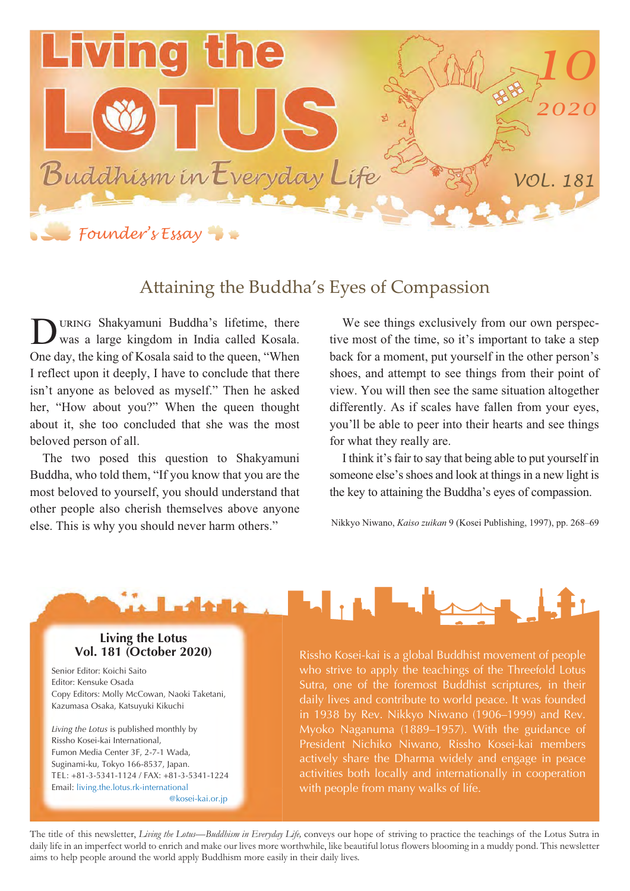

## Attaining the Buddha's Eyes of Compassion

URING Shakyamuni Buddha's lifetime, there was a large kingdom in India called Kosala. One day, the king of Kosala said to the queen, "When I reflect upon it deeply, I have to conclude that there isn't anyone as beloved as myself." Then he asked her, "How about you?" When the queen thought about it, she too concluded that she was the most beloved person of all. D

The two posed this question to Shakyamuni Buddha, who told them, "If you know that you are the most beloved to yourself, you should understand that other people also cherish themselves above anyone else. This is why you should never harm others."

We see things exclusively from our own perspective most of the time, so it's important to take a step back for a moment, put yourself in the other person's shoes, and attempt to see things from their point of view. You will then see the same situation altogether differently. As if scales have fallen from your eyes, you'll be able to peer into their hearts and see things for what they really are.

I think it's fair to say that being able to put yourself in someone else's shoes and look at things in a new light is the key to attaining the Buddha's eyes of compassion.

Nikkyo Niwano, *Kaiso zuikan* 9 (Kosei Publishing, 1997), pp. 268–69



#### **Living the Lotus Vol. 181 (October 2020)**

Senior Editor: Koichi Saito Editor: Kensuke Osada Copy Editors: Molly McCowan, Naoki Taketani, Kazumasa Osaka, Katsuyuki Kikuchi

*Living the Lotus* is published monthly by Rissho Kosei-kai International, Fumon Media Center 3F, 2-7-1 Wada, Suginami-ku, Tokyo 166-8537, Japan. TEL: +81-3-5341-1124 / FAX: +81-3-5341-1224 Email: living.the.lotus.rk-international @kosei-kai.or.jp Rissho Kosei-kai is a global Buddhist movement of people who strive to apply the teachings of the Threefold Lotus Sutra, one of the foremost Buddhist scriptures, in their daily lives and contribute to world peace. It was founded in 1938 by Rev. Nikkyo Niwano (1906–1999) and Rev. Myoko Naganuma (1889–1957). With the guidance of President Nichiko Niwano, Rissho Kosei-kai members actively share the Dharma widely and engage in peace activities both locally and internationally in cooperation with people from many walks of life.

The title of this newsletter, *Living the Lotus—Buddhism in Everyday Life,* conveys our hope of striving to practice the teachings of the Lotus Sutra in daily life in an imperfect world to enrich and make our lives more worthwhile, like beautiful lotus flowers blooming in a muddy pond. This newsletter aims to help people around the world apply Buddhism more easily in their daily lives.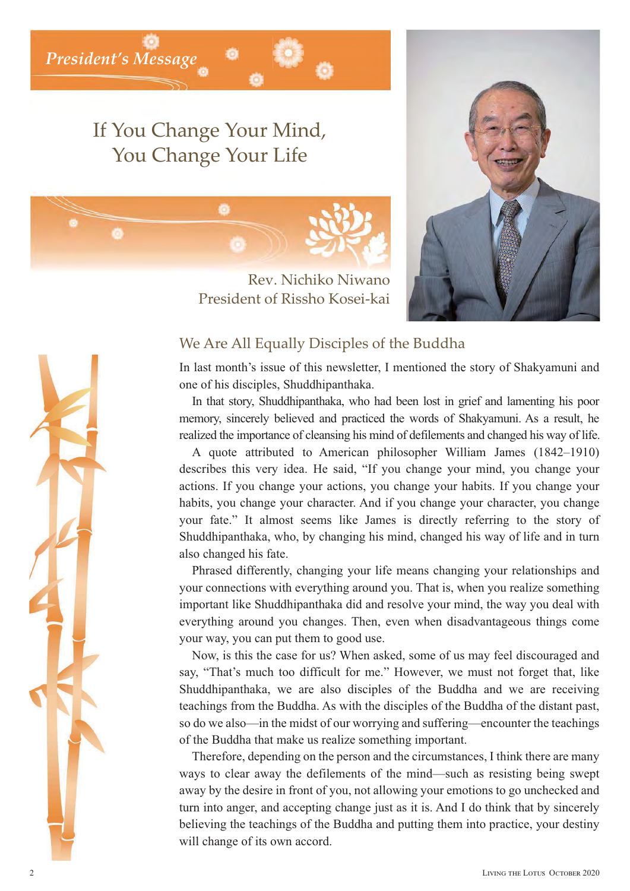*President's Message*

## If You Change Your Mind, You Change Your Life



Rev. Nichiko Niwano President of Rissho Kosei-kai



### We Are All Equally Disciples of the Buddha

In last month's issue of this newsletter, I mentioned the story of Shakyamuni and one of his disciples, Shuddhipanthaka.

In that story, Shuddhipanthaka, who had been lost in grief and lamenting his poor memory, sincerely believed and practiced the words of Shakyamuni. As a result, he realized the importance of cleansing his mind of defilements and changed his way of life.

A quote attributed to American philosopher William James (1842–1910) describes this very idea. He said, "If you change your mind, you change your actions. If you change your actions, you change your habits. If you change your habits, you change your character. And if you change your character, you change your fate." It almost seems like James is directly referring to the story of Shuddhipanthaka, who, by changing his mind, changed his way of life and in turn also changed his fate.

Phrased differently, changing your life means changing your relationships and your connections with everything around you. That is, when you realize something important like Shuddhipanthaka did and resolve your mind, the way you deal with everything around you changes. Then, even when disadvantageous things come your way, you can put them to good use.

Now, is this the case for us? When asked, some of us may feel discouraged and say, "That's much too difficult for me." However, we must not forget that, like Shuddhipanthaka, we are also disciples of the Buddha and we are receiving teachings from the Buddha. As with the disciples of the Buddha of the distant past, so do we also—in the midst of our worrying and suffering—encounter the teachings of the Buddha that make us realize something important.

Therefore, depending on the person and the circumstances, I think there are many ways to clear away the defilements of the mind—such as resisting being swept away by the desire in front of you, not allowing your emotions to go unchecked and turn into anger, and accepting change just as it is. And I do think that by sincerely believing the teachings of the Buddha and putting them into practice, your destiny will change of its own accord.

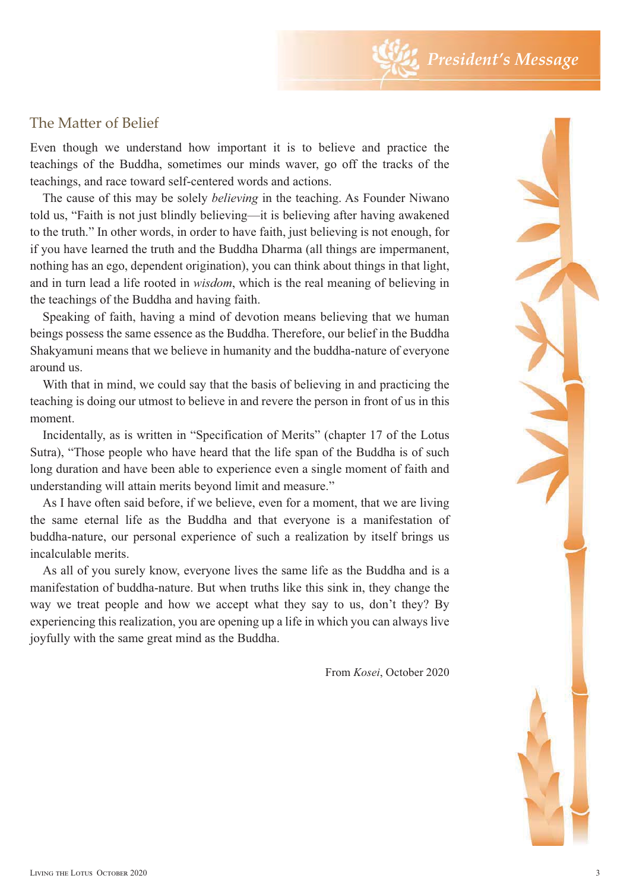## The Matter of Belief

Even though we understand how important it is to believe and practice the teachings of the Buddha, sometimes our minds waver, go off the tracks of the teachings, and race toward self-centered words and actions.

The cause of this may be solely *believing* in the teaching. As Founder Niwano told us, "Faith is not just blindly believing—it is believing after having awakened to the truth." In other words, in order to have faith, just believing is not enough, for if you have learned the truth and the Buddha Dharma (all things are impermanent, nothing has an ego, dependent origination), you can think about things in that light, and in turn lead a life rooted in *wisdom*, which is the real meaning of believing in the teachings of the Buddha and having faith.

Speaking of faith, having a mind of devotion means believing that we human beings possess the same essence as the Buddha. Therefore, our belief in the Buddha Shakyamuni means that we believe in humanity and the buddha-nature of everyone around us.

With that in mind, we could say that the basis of believing in and practicing the teaching is doing our utmost to believe in and revere the person in front of us in this moment.

Incidentally, as is written in "Specification of Merits" (chapter 17 of the Lotus Sutra), "Those people who have heard that the life span of the Buddha is of such long duration and have been able to experience even a single moment of faith and understanding will attain merits beyond limit and measure."

As I have often said before, if we believe, even for a moment, that we are living the same eternal life as the Buddha and that everyone is a manifestation of buddha-nature, our personal experience of such a realization by itself brings us incalculable merits.

As all of you surely know, everyone lives the same life as the Buddha and is a manifestation of buddha-nature. But when truths like this sink in, they change the way we treat people and how we accept what they say to us, don't they? By experiencing this realization, you are opening up a life in which you can always live joyfully with the same great mind as the Buddha.

From *Kosei*, October 2020

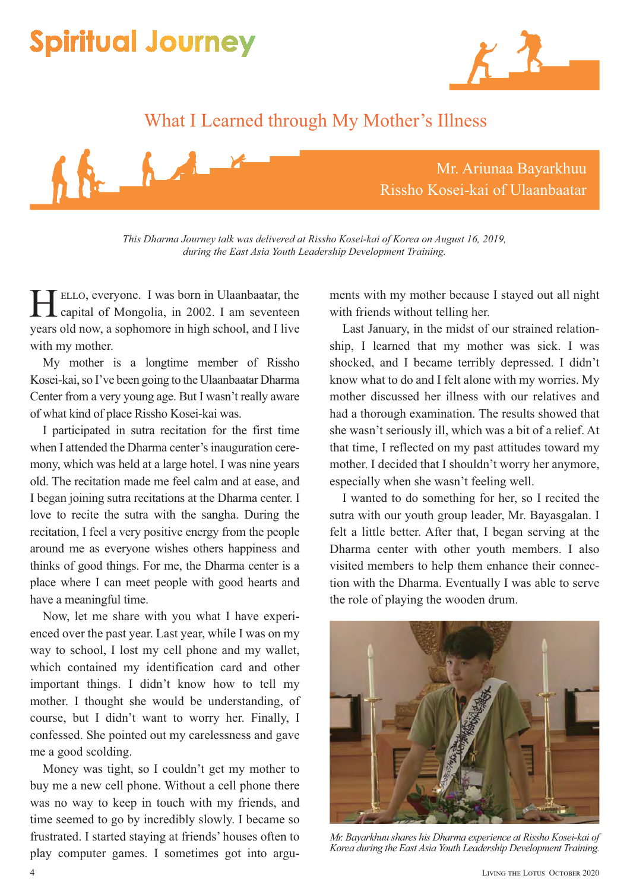# **Spiritual Journey**



## What I Learned through My Mother's Illness



*This Dharma Journey talk was delivered at Rissho Kosei-kai of Korea on August 16, 2019, during the East Asia Youth Leadership Development Training.*

 , everyone. I was born in Ulaanbaatar, the **ELLO, everyone.** I was born in Ulaanbaatar, the capital of Mongolia, in 2002. I am seventeen years old now, a sophomore in high school, and I live with my mother.

My mother is a longtime member of Rissho Kosei-kai, so I've been going to the Ulaanbaatar Dharma Center from a very young age. But I wasn't really aware of what kind of place Rissho Kosei-kai was.

I participated in sutra recitation for the first time when I attended the Dharma center's inauguration ceremony, which was held at a large hotel. I was nine years old. The recitation made me feel calm and at ease, and I began joining sutra recitations at the Dharma center. I love to recite the sutra with the sangha. During the recitation, I feel a very positive energy from the people around me as everyone wishes others happiness and thinks of good things. For me, the Dharma center is a place where I can meet people with good hearts and have a meaningful time.

Now, let me share with you what I have experienced over the past year. Last year, while I was on my way to school, I lost my cell phone and my wallet, which contained my identification card and other important things. I didn't know how to tell my mother. I thought she would be understanding, of course, but I didn't want to worry her. Finally, I confessed. She pointed out my carelessness and gave me a good scolding.

Money was tight, so I couldn't get my mother to buy me a new cell phone. Without a cell phone there was no way to keep in touch with my friends, and time seemed to go by incredibly slowly. I became so frustrated. I started staying at friends' houses often to play computer games. I sometimes got into arguments with my mother because I stayed out all night with friends without telling her.

Last January, in the midst of our strained relationship, I learned that my mother was sick. I was shocked, and I became terribly depressed. I didn't know what to do and I felt alone with my worries. My mother discussed her illness with our relatives and had a thorough examination. The results showed that she wasn't seriously ill, which was a bit of a relief. At that time, I reflected on my past attitudes toward my mother. I decided that I shouldn't worry her anymore, especially when she wasn't feeling well.

I wanted to do something for her, so I recited the sutra with our youth group leader, Mr. Bayasgalan. I felt a little better. After that, I began serving at the Dharma center with other youth members. I also visited members to help them enhance their connection with the Dharma. Eventually I was able to serve the role of playing the wooden drum.



*Mr. Bayarkhuu shares his Dharma experience at Rissho Kosei-kai of Korea during the East Asia Youth Leadership Development Training.*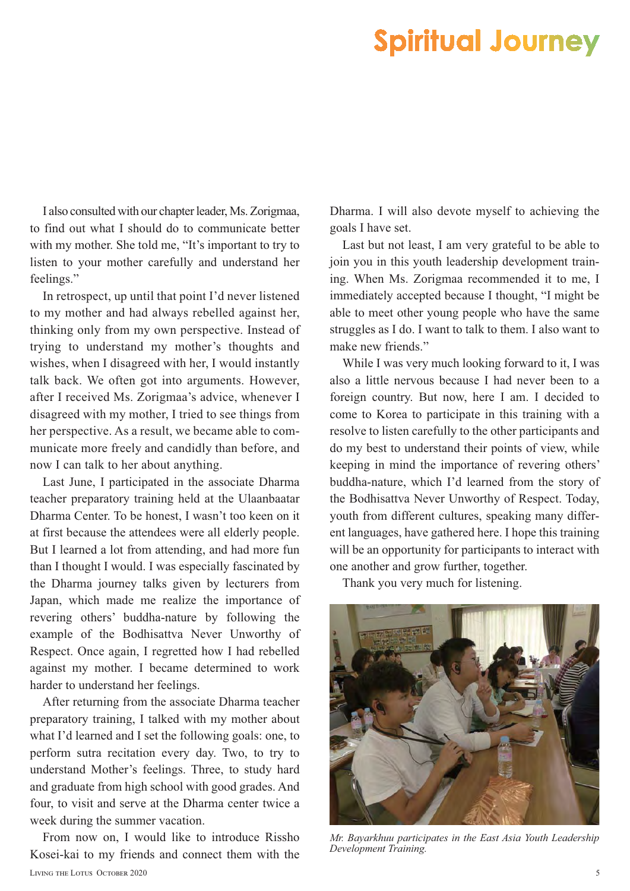# **Spiritual Journey**

I also consulted with our chapter leader, Ms. Zorigmaa, to find out what I should do to communicate better with my mother. She told me, "It's important to try to listen to your mother carefully and understand her feelings."

In retrospect, up until that point I'd never listened to my mother and had always rebelled against her, thinking only from my own perspective. Instead of trying to understand my mother's thoughts and wishes, when I disagreed with her, I would instantly talk back. We often got into arguments. However, after I received Ms. Zorigmaa's advice, whenever I disagreed with my mother, I tried to see things from her perspective. As a result, we became able to communicate more freely and candidly than before, and now I can talk to her about anything.

Last June, I participated in the associate Dharma teacher preparatory training held at the Ulaanbaatar Dharma Center. To be honest, I wasn't too keen on it at first because the attendees were all elderly people. But I learned a lot from attending, and had more fun than I thought I would. I was especially fascinated by the Dharma journey talks given by lecturers from Japan, which made me realize the importance of revering others' buddha-nature by following the example of the Bodhisattva Never Unworthy of Respect. Once again, I regretted how I had rebelled against my mother. I became determined to work harder to understand her feelings.

After returning from the associate Dharma teacher preparatory training, I talked with my mother about what I'd learned and I set the following goals: one, to perform sutra recitation every day. Two, to try to understand Mother's feelings. Three, to study hard and graduate from high school with good grades. And four, to visit and serve at the Dharma center twice a week during the summer vacation.

From now on, I would like to introduce Rissho Kosei-kai to my friends and connect them with the LIVING THE LOTUS OCTOBER 2020

Dharma. I will also devote myself to achieving the goals I have set.

Last but not least, I am very grateful to be able to join you in this youth leadership development training. When Ms. Zorigmaa recommended it to me, I immediately accepted because I thought, "I might be able to meet other young people who have the same struggles as I do. I want to talk to them. I also want to make new friends."

While I was very much looking forward to it, I was also a little nervous because I had never been to a foreign country. But now, here I am. I decided to come to Korea to participate in this training with a resolve to listen carefully to the other participants and do my best to understand their points of view, while keeping in mind the importance of revering others' buddha-nature, which I'd learned from the story of the Bodhisattva Never Unworthy of Respect. Today, youth from different cultures, speaking many different languages, have gathered here. I hope this training will be an opportunity for participants to interact with one another and grow further, together.

Thank you very much for listening.



*Mr. Bayarkhuu participates in the East Asia Youth Leadership Development Training.*

5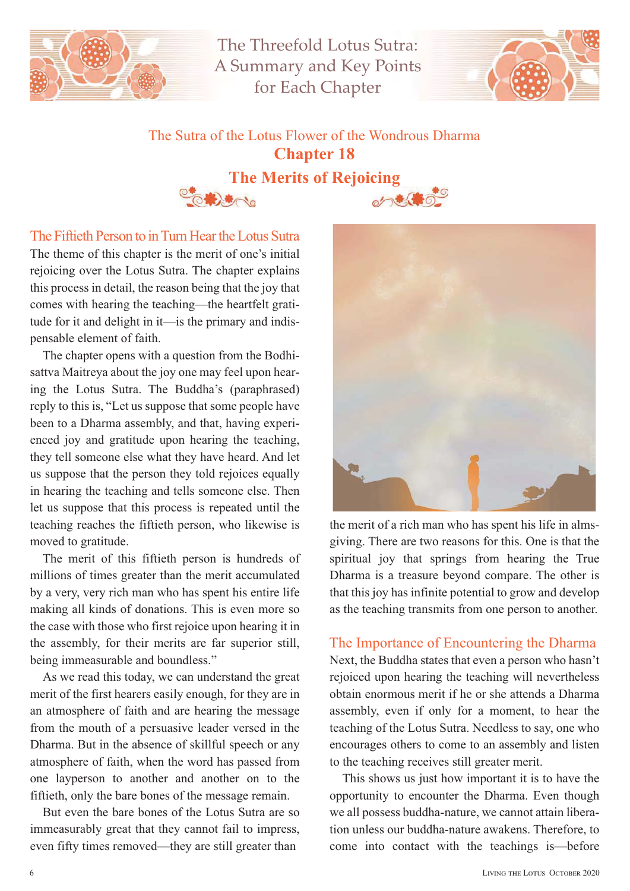

The Threefold Lotus Sutra: A Summary and Key Points for Each Chapter



# The Sutra of the Lotus Flower of the Wondrous Dharma **Chapter 18**<br>**The Merits of Rejoicing**



The theme of this chapter is the merit of one's initial rejoicing over the Lotus Sutra. The chapter explains this process in detail, the reason being that the joy that comes with hearing the teaching—the heartfelt gratitude for it and delight in it—is the primary and indispensable element of faith. The Fiftieth Person to in Turn Hear the Lotus Sutra

The chapter opens with a question from the Bodhisattva Maitreya about the joy one may feel upon hearing the Lotus Sutra. The Buddha's (paraphrased) reply to this is, "Let us suppose that some people have been to a Dharma assembly, and that, having experienced joy and gratitude upon hearing the teaching, they tell someone else what they have heard. And let us suppose that the person they told rejoices equally in hearing the teaching and tells someone else. Then let us suppose that this process is repeated until the teaching reaches the fiftieth person, who likewise is moved to gratitude.

The merit of this fiftieth person is hundreds of millions of times greater than the merit accumulated by a very, very rich man who has spent his entire life making all kinds of donations. This is even more so the case with those who first rejoice upon hearing it in the assembly, for their merits are far superior still, being immeasurable and boundless."

As we read this today, we can understand the great merit of the first hearers easily enough, for they are in an atmosphere of faith and are hearing the message from the mouth of a persuasive leader versed in the Dharma. But in the absence of skillful speech or any atmosphere of faith, when the word has passed from one layperson to another and another on to the fiftieth, only the bare bones of the message remain.

But even the bare bones of the Lotus Sutra are so immeasurably great that they cannot fail to impress, even fifty times removed—they are still greater than



the merit of a rich man who has spent his life in almsgiving. There are two reasons for this. One is that the spiritual joy that springs from hearing the True Dharma is a treasure beyond compare. The other is that this joy has infinite potential to grow and develop as the teaching transmits from one person to another.

#### The Importance of Encountering the Dharma

Next, the Buddha states that even a person who hasn't rejoiced upon hearing the teaching will nevertheless obtain enormous merit if he or she attends a Dharma assembly, even if only for a moment, to hear the teaching of the Lotus Sutra. Needless to say, one who encourages others to come to an assembly and listen to the teaching receives still greater merit.

This shows us just how important it is to have the opportunity to encounter the Dharma. Even though we all possess buddha-nature, we cannot attain liberation unless our buddha-nature awakens. Therefore, to come into contact with the teachings is—before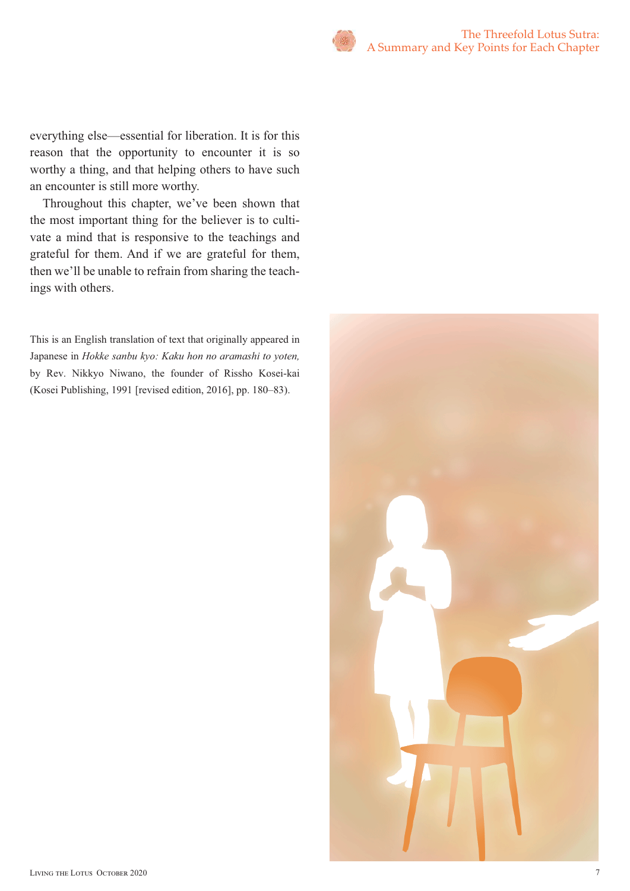everything else—essential for liberation. It is for this reason that the opportunity to encounter it is so worthy a thing, and that helping others to have such an encounter is still more worthy.

Throughout this chapter, we've been shown that the most important thing for the believer is to cultivate a mind that is responsive to the teachings and grateful for them. And if we are grateful for them, then we'll be unable to refrain from sharing the teachings with others.

This is an English translation of text that originally appeared in Japanese in *Hokke sanbu kyo: Kaku hon no aramashi to yoten,*  by Rev. Nikkyo Niwano, the founder of Rissho Kosei-kai (Kosei Publishing, 1991 [revised edition, 2016], pp. 180–83).

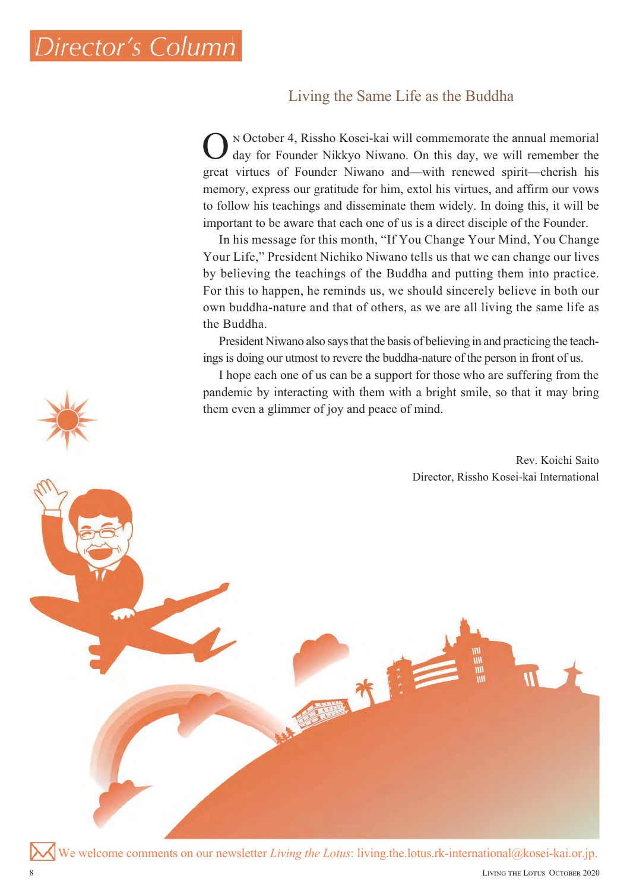## *Director's Column Director's*

### Living the Same Life as the Buddha

 October 4, Rissho Kosei-kai will commemorate the annual memorial day for Founder Nikkyo Niwano. On this day, we will remember the great virtues of Founder Niwano and—with renewed spirit—cherish his memory, express our gratitude for him, extol his virtues, and affirm our vows to follow his teachings and disseminate them widely. In doing this, it will be important to be aware that each one of us is a direct disciple of the Founder. O

In his message for this month, "If You Change Your Mind, You Change Your Life," President Nichiko Niwano tells us that we can change our lives by believing the teachings of the Buddha and putting them into practice. For this to happen, he reminds us, we should sincerely believe in both our own buddha-nature and that of others, as we are all living the same life as the Buddha.

President Niwano also says that the basis of believing in and practicing the teachings is doing our utmost to revere the buddha-nature of the person in front of us.

I hope each one of us can be a support for those who are suffering from the pandemic by interacting with them with a bright smile, so that it may bring<br>them even a glimmer of joy and peace of mind.<br>Rev. Koichi Saito them even a glimmer of joy and peace of mind.

Rev. Koichi Saito Director, Rissho Kosei-kai International

We welcome comments on our newsletter *Living the Lotus*: living.the.lotus.rk-international@kosei-kai.or.jp.

小学院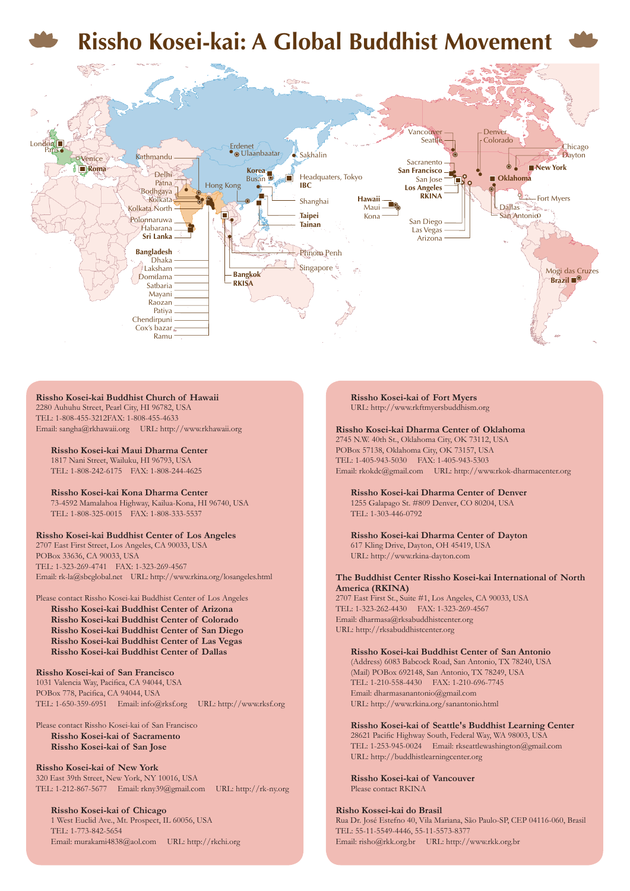

#### **Rissho Kosei-kai Buddhist Church of Hawaii** 2280 Auhuhu Street, Pearl City, HI 96782, USA

TEL: 1-808-455-3212FAX: 1-808-455-4633 Email: sangha@rkhawaii.org URL: http://www.rkhawaii.org

**Rissho Kosei-kai Maui Dharma Center** 1817 Nani Street, Wailuku, HI 96793, USA TEL: 1-808-242-6175 FAX: 1-808-244-4625

**Rissho Kosei-kai Kona Dharma Center** 73-4592 Mamalahoa Highway, Kailua-Kona, HI 96740, USA TEL: 1-808-325-0015 FAX: 1-808-333-5537

#### **Rissho Kosei-kai Buddhist Center of Los Angeles**

2707 East First Street, Los Angeles, CA 90033, USA POBox 33636, CA 90033, USA TEL: 1-323-269-4741 FAX: 1-323-269-4567 Email: rk-la@sbcglobal.net URL: http://www.rkina.org/losangeles.html

#### Please contact Rissho Kosei-kai Buddhist Center of Los Angeles

**Rissho Kosei-kai Buddhist Center of Arizona Rissho Kosei-kai Buddhist Center of Colorado Rissho Kosei-kai Buddhist Center of San Diego Rissho Kosei-kai Buddhist Center of Las Vegas Rissho Kosei-kai Buddhist Center of Dallas**

#### **Rissho Kosei-kai of San Francisco**

1031 Valencia Way, Pacifica, CA 94044, USA POBox 778, Pacifica, CA 94044, USA TEL: 1-650-359-6951 Email: info@rksf.org URL: http://www.rksf.org

#### Please contact Rissho Kosei-kai of San Francisco **Rissho Kosei-kai of Sacramento Rissho Kosei-kai of San Jose**

**Rissho Kosei-kai of New York** 320 East 39th Street, New York, NY 10016, USA TEL: 1-212-867-5677 Email: rkny39@gmail.com URL: http://rk-ny.org

**Rissho Kosei-kai of Chicago** 1 West Euclid Ave., Mt. Prospect, IL 60056, USA TEL: 1-773-842-5654 Email: murakami4838@aol.com URL: http://rkchi.org **Rissho Kosei-kai of Fort Myers** URL: http://www.rkftmyersbuddhism.org

#### **Rissho Kosei-kai Dharma Center of Oklahoma**

2745 N.W. 40th St., Oklahoma City, OK 73112, USA POBox 57138, Oklahoma City, OK 73157, USA TEL: 1-405-943-5030 FAX: 1-405-943-5303 Email: rkokdc@gmail.com URL: http://www.rkok-dharmacenter.org

**Rissho Kosei-kai Dharma Center of Denver** 1255 Galapago St. #809 Denver, CO 80204, USA TEL: 1-303-446-0792

**Rissho Kosei-kai Dharma Center of Dayton** 617 Kling Drive, Dayton, OH 45419, USA URL: http://www.rkina-dayton.com

#### **The Buddhist Center Rissho Kosei-kai International of North America (RKINA)**

2707 East First St., Suite #1, Los Angeles, CA 90033, USA TEL: 1-323-262-4430 FAX: 1-323-269-4567 Email: dharmasa@rksabuddhistcenter.org URL: http://rksabuddhistcenter.org

#### **Rissho Kosei-kai Buddhist Center of San Antonio**

(Address) 6083 Babcock Road, San Antonio, TX 78240, USA (Mail) POBox 692148, San Antonio, TX 78249, USA TEL: 1-210-558-4430 FAX: 1-210-696-7745 Email: dharmasanantonio@gmail.com URL: http://www.rkina.org/sanantonio.html

**Rissho Kosei-kai of Seattle's Buddhist Learning Center** 28621 Pacific Highway South, Federal Way, WA 98003, USA TEL: 1-253-945-0024 Email: rkseattlewashington@gmail.com URL: http://buddhistlearningcenter.org

**Rissho Kosei-kai of Vancouver** Please contact RKINA

#### **Risho Kossei-kai do Brasil**

Rua Dr. José Estefno 40, Vila Mariana, São Paulo-SP, CEP 04116-060, Brasil TEL: 55-11-5549-4446, 55-11-5573-837 Email: risho@rkk.org.br URL: http://www.rkk.org.br